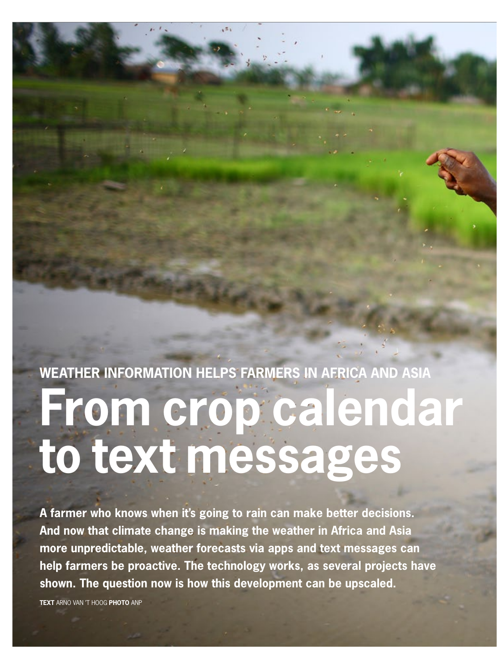**WEATHER INFORMATION HELPS FARMERS IN AFRICA AND ASIA** 

# **From crop calendar to text messages**

**A farmer who knows when it's going to rain can make better decisions. And now that climate change is making the weather in Africa and Asia more unpredictable, weather forecasts via apps and text messages can help farmers be proactive. The technology works, as several projects have shown. The question now is how this development can be upscaled.**

**TEXT** ARNO VAN 'T HOOG **PHOTO** ANP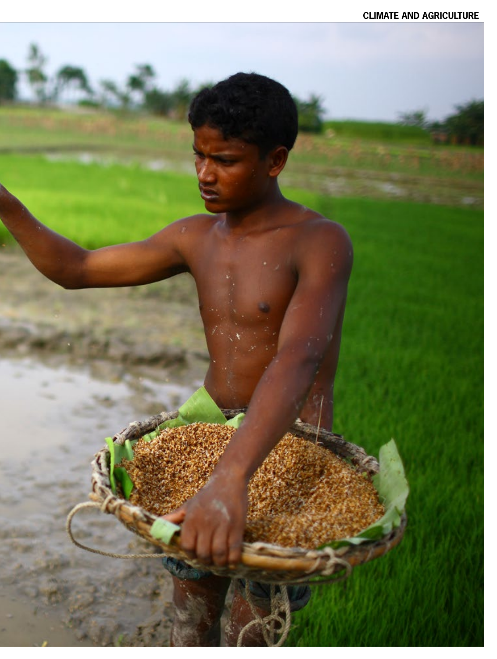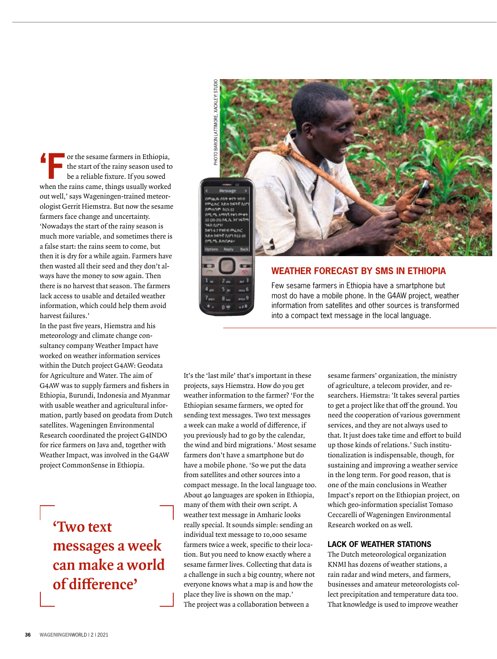**For** or the sesame farmers in Ethiopia, the start of the rainy season used to be a reliable fixture. If you sowed when the rains came, things usually worked out well,' says Wageningen-trained meteorologist Gerrit Hiemstra. But now the sesame farmers face change and uncertainty. 'Nowadays the start of the rainy season is much more variable, and sometimes there is a false start: the rains seem to come, but then it is dry for a while again. Farmers have then wasted all their seed and they don't always have the money to sow again. Then there is no harvest that season. The farmers lack access to usable and detailed weather information, which could help them avoid harvest failures.'

In the past five years, Hiemstra and his meteorology and climate change consultancy company Weather Impact have worked on weather information services within the Dutch project G4AW: Geodata for Agriculture and Water. The aim of G4AW was to supply farmers and fishers in Ethiopia, Burundi, Indonesia and Myanmar with usable weather and agricultural information, partly based on geodata from Dutch satellites. Wageningen Environmental Research coordinated the project G4INDO for rice farmers on Java and, together with Weather Impact, was involved in the G4AW project CommonSense in Ethiopia.

**'Two text messages a week can make a world of difference'**



## **WEATHER FORECAST BY SMS IN ETHIOPIA**

Few sesame farmers in Ethiopia have a smartphone but most do have a mobile phone. In the G4AW project, weather information from satellites and other sources is transformed into a compact text message in the local language.

It's the 'last mile' that's important in these projects, says Hiemstra. How do you get weather information to the farmer? 'For the Ethiopian sesame farmers, we opted for sending text messages. Two text messages a week can make a world of difference, if you previously had to go by the calendar, the wind and bird migrations.' Most sesame farmers don't have a smartphone but do have a mobile phone. 'So we put the data from satellites and other sources into a compact message. In the local language too. About 40 languages are spoken in Ethiopia, many of them with their own script. A weather text message in Amharic looks really special. It sounds simple: sending an individual text message to 10,000 sesame farmers twice a week, specific to their location. But you need to know exactly where a sesame farmer lives. Collecting that data is a challenge in such a big country, where not everyone knows what a map is and how the place they live is shown on the map.' The project was a collaboration between a

sesame farmers' organization, the ministry of agriculture, a telecom provider, and researchers. Hiemstra: 'It takes several parties to get a project like that off the ground. You need the cooperation of various government services, and they are not always used to that. It just does take time and effort to build up those kinds of relations.' Such institutionalization is indispensable, though, for sustaining and improving a weather service in the long term. For good reason, that is one of the main conclusions in Weather Impact's report on the Ethiopian project, on which geo-information specialist Tomaso Ceccarelli of Wageningen Environmental Research worked on as well.

#### **LACK OF WEATHER STATIONS**

The Dutch meteorological organization KNMI has dozens of weather stations, a rain radar and wind meters, and farmers, businesses and amateur meteorologists collect precipitation and temperature data too. That knowledge is used to improve weather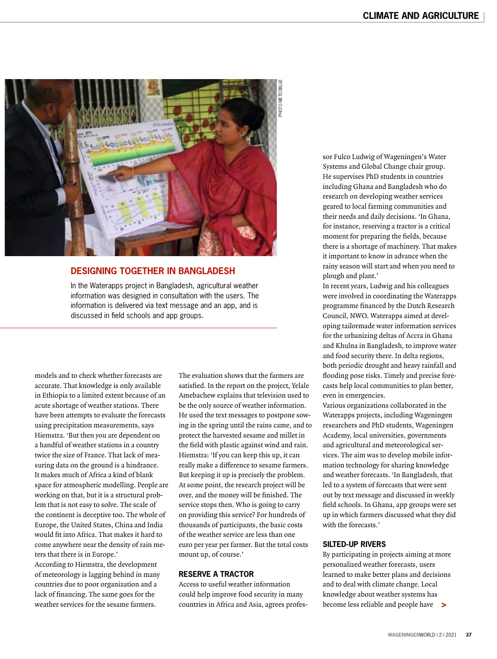

# **DESIGNING TOGETHER IN BANGLADESH**

In the Waterapps project in Bangladesh, agricultural weather information was designed in consultation with the users. The information is delivered via text message and an app, and is discussed in field schools and app groups.

models and to check whether forecasts are accurate. That knowledge is only available in Ethiopia to a limited extent because of an acute shortage of weather stations. There have been attempts to evaluate the forecasts using precipitation measurements, says Hiemstra. 'But then you are dependent on a handful of weather stations in a country twice the size of France. That lack of measuring data on the ground is a hindrance. It makes much of Africa a kind of blank space for atmospheric modelling. People are working on that, but it is a structural problem that is not easy to solve. The scale of the continent is deceptive too. The whole of Europe, the United States, China and India would fit into Africa. That makes it hard to come anywhere near the density of rain meters that there is in Europe.'

According to Hiemstra, the development of meteorology is lagging behind in many countries due to poor organization and a lack of financing. The same goes for the weather services for the sesame farmers. *Countries in Africa and Asia, agrees profes-* become less reliable and people have

The evaluation shows that the farmers are satisfied. In the report on the project, Yelale Amebachew explains that television used to be the only source of weather information. He used the text messages to postpone sowing in the spring until the rains came, and to protect the harvested sesame and millet in the field with plastic against wind and rain. Hiemstra: 'If you can keep this up, it can really make a difference to sesame farmers. But keeping it up is precisely the problem. At some point, the research project will be over, and the money will be finished. The service stops then. Who is going to carry on providing this service? For hundreds of thousands of participants, the basic costs of the weather service are less than one euro per year per farmer. But the total costs mount up, of course.'

#### **RESERVE A TRACTOR**

Access to useful weather information could help improve food security in many sor Fulco Ludwig of Wageningen's Water Systems and Global Change chair group. He supervises PhD students in countries including Ghana and Bangladesh who do research on developing weather services geared to local farming communities and their needs and daily decisions. 'In Ghana, for instance, reserving a tractor is a critical moment for preparing the fields, because there is a shortage of machinery. That makes it important to know in advance when the rainy season will start and when you need to plough and plant.'

In recent years, Ludwig and his colleagues were involved in coordinating the Waterapps programme financed by the Dutch Research Council, NWO. Waterapps aimed at developing tailormade water information services for the urbanizing deltas of Accra in Ghana and Khulna in Bangladesh, to improve water and food security there. In delta regions, both periodic drought and heavy rainfall and flooding pose risks. Timely and precise forecasts help local communities to plan better, even in emergencies.

Various organizations collaborated in the Waterapps projects, including Wageningen researchers and PhD students, Wageningen Academy, local universities, governments and agricultural and meteorological services. The aim was to develop mobile information technology for sharing knowledge and weather forecasts. 'In Bangladesh, that led to a system of forecasts that were sent out by text message and discussed in weekly field schools. In Ghana, app groups were set up in which farmers discussed what they did with the forecasts.'

#### **SILTED-UP RIVERS**

By participating in projects aiming at more personalized weather forecasts, users learned to make better plans and decisions and to deal with climate change. Local knowledge about weather systems has become less reliable and people have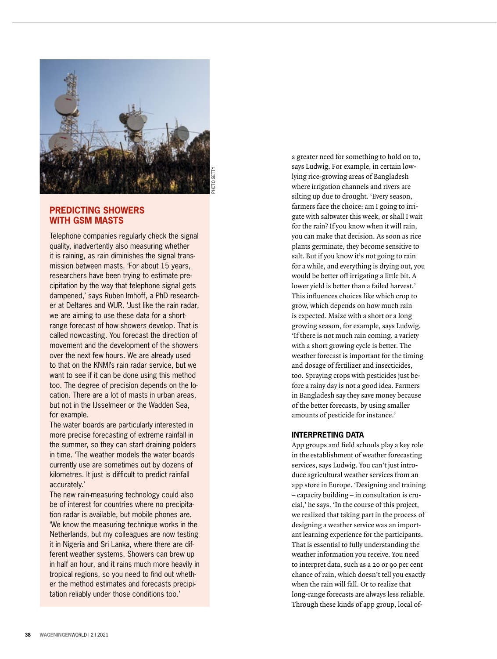

#### **PREDICTING SHOWERS WITH GSM MASTS**

Telephone companies regularly check the signal quality, inadvertently also measuring whether it is raining, as rain diminishes the signal trans mission between masts. 'For about 15 years, researchers have been trying to estimate pre cipitation by the way that telephone signal gets dampened,' says Ruben Imhoff, a PhD research er at Deltares and WUR. 'Just like the rain radar, we are aiming to use these data for a shortrange forecast of how showers develop. That is called nowcasting. You forecast the direction of movement and the development of the showers over the next few hours. We are already used to that on the KNMI's rain radar service, but we want to see if it can be done using this method too. The degree of precision depends on the lo cation. There are a lot of masts in urban areas, but not in the IJsselmeer or the Wadden Sea, for example.

The water boards are particularly interested in more precise forecasting of extreme rainfall in the summer, so they can start draining polders in time. 'The weather models the water boards currently use are sometimes out by dozens of kilometres. It just is difficult to predict rainfall accurately.'

The new rain-measuring technology could also be of interest for countries where no precipita tion radar is available, but mobile phones are. 'We know the measuring technique works in the Netherlands, but my colleagues are now testing it in Nigeria and Sri Lanka, where there are dif ferent weather systems. Showers can brew up in half an hour, and it rains much more heavily in tropical regions, so you need to find out wheth er the method estimates and forecasts precipi tation reliably under those conditions too.'

a greater need for something to hold on to, says Ludwig. For example, in certain lowlying rice-growing areas of Bangladesh where irrigation channels and rivers are silting up due to drought. 'Every season, farmers face the choice: am I going to irri gate with saltwater this week, or shall I wait for the rain? If you know when it will rain, you can make that decision. As soon as rice plants germinate, they become sensitive to salt. But if you know it's not going to rain for a while, and everything is drying out, you would be better off irrigating a little bit. A lower yield is better than a failed harvest.' This influences choices like which crop to grow, which depends on how much rain is expected. Maize with a short or a long growing season, for example, says Ludwig. 'If there is not much rain coming, a variety with a short growing cycle is better. The weather forecast is important for the timing and dosage of fertilizer and insecticides, too. Spraying crops with pesticides just be fore a rainy day is not a good idea. Farmers in Bangladesh say they save money because of the better forecasts, by using smaller amounts of pesticide for instance.'

#### **INTERPRETING DATA**

App groups and field schools play a key role in the establishment of weather forecasting services, says Ludwig. You can't just intro duce agricultural weather services from an app store in Europe. 'Designing and training – capacity building – in consultation is cru cial,' he says. 'In the course of this project, we realized that taking part in the process of designing a weather service was an import ant learning experience for the participants. That is essential to fully understanding the weather information you receive. You need to interpret data, such as a 20 or 90 per cent chance of rain, which doesn't tell you exactly when the rain will fall. Or to realize that long-range forecasts are always less reliable. Through these kinds of app group, local of-